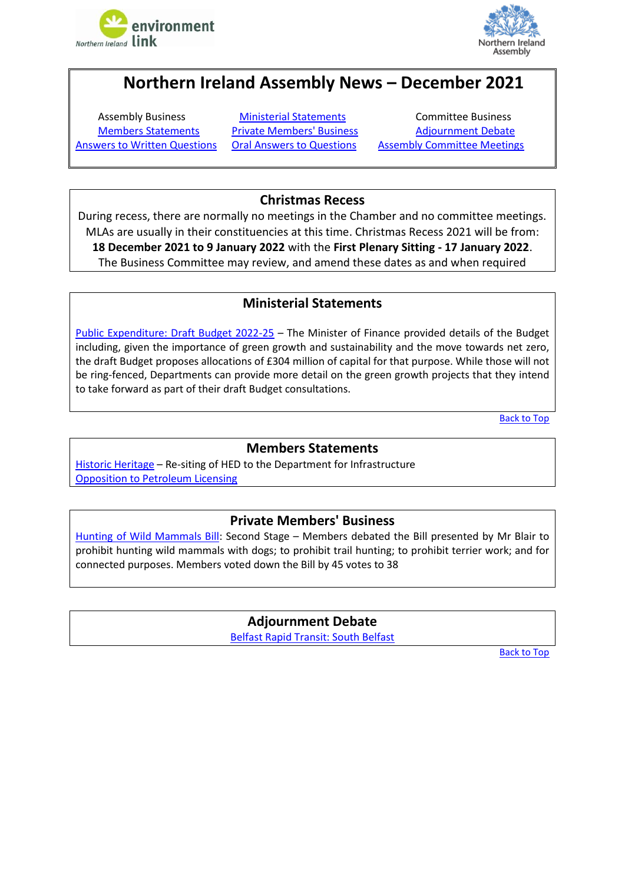



# **Northern Ireland Assembly News – December 2021**

[Members Statements](#page-0-1) [Private Members' Business](#page-0-2) [Adjournment Debate](#page-0-3)

<span id="page-0-4"></span>Assembly Business **[Ministerial Statements](#page-0-0)** Committee Business [Answers to Written Questions](#page-1-0) [Oral Answers to Questions](#page-1-1) [Assembly Committee Meetings](#page-2-0)

# **Christmas Recess**

During recess, there are normally no meetings in the Chamber and no committee meetings. MLAs are usually in their constituencies at this time. Christmas Recess 2021 will be from: **18 December 2021 to 9 January 2022** with the **First Plenary Sitting - 17 January 2022**. The Business Committee may review, and amend these dates as and when required

## **Ministerial Statements**

<span id="page-0-0"></span>[Public Expenditure: Draft Budget 2022-25](http://aims.niassembly.gov.uk/officialreport/report.aspx?&eveDate=2021/12/13&docID=360942#3817289) – The Minister of Finance provided details of the Budget including, given the importance of green growth and sustainability and the move towards net zero, the draft Budget proposes allocations of £304 million of capital for that purpose. While those will not be ring-fenced, Departments can provide more detail on the green growth projects that they intend to take forward as part of their draft Budget consultations.

[Back to](#page-0-4) Top

### **Members Statements**

<span id="page-0-1"></span>[Historic Heritage](http://aims.niassembly.gov.uk/officialreport/report.aspx?&eveDate=2021/12/13&docID=360942#3816752) - Re-siting of HED to the Department for Infrastructure Opposition to [Petroleum Licensing](http://aims.niassembly.gov.uk/officialreport/report.aspx?&eveDate=2021/12/13&docID=360942#3816768)

#### **Private Members' Business**

<span id="page-0-3"></span><span id="page-0-2"></span>[Hunting of Wild Mammals Bill:](http://aims.niassembly.gov.uk/officialreport/report.aspx?&eveDate=2021/12/06&docID=359906#3783198) Second Stage – Members debated the Bill presented by Mr Blair to prohibit hunting wild mammals with dogs; to prohibit trail hunting; to prohibit terrier work; and for connected purposes. Members voted down the Bill by 45 votes to 38

> **Adjournment Debate** [Belfast Rapid Transit: South Belfast](http://aims.niassembly.gov.uk/officialreport/report.aspx?&eveDate=2021-12-14&docID=360943#3816658)

> > [Back to Top](#page-0-4)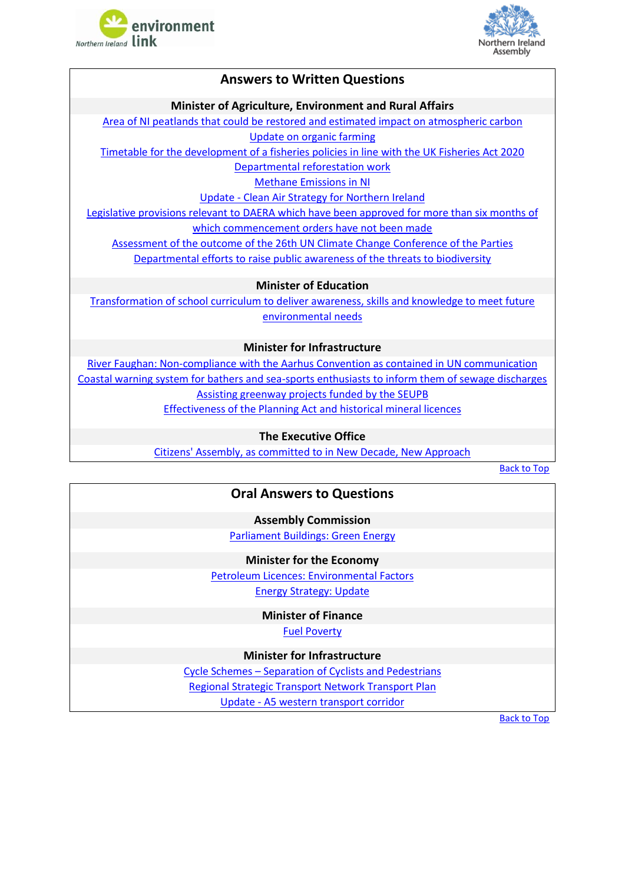



#### **Answers to Written Questions**

#### **Minister of Agriculture, Environment and Rural Affairs**

<span id="page-1-0"></span>Area of NI peatlands that could be restored [and estimated impact on atmospheric carbon](http://aims.niassembly.gov.uk/questions/printquestionsummary.aspx?docid=359661) [Update on organic farming](http://aims.niassembly.gov.uk/questions/printquestionsummary.aspx?docid=359664) [Timetable for the development of a fisheries policies in line with the UK Fisheries Act 2020](http://aims.niassembly.gov.uk/questions/printquestionsummary.aspx?docid=357268)

[Departmental reforestation work](http://aims.niassembly.gov.uk/questions/printquestionsummary.aspx?docid=356329)

[Methane Emissions in NI](http://aims.niassembly.gov.uk/questions/printquestionsummary.aspx?docid=357640)

Update - [Clean Air Strategy for Northern Ireland](http://aims.niassembly.gov.uk/questions/printquestionsummary.aspx?docid=358737)

Legislative provisions relevant to [DAERA which have been approved](http://aims.niassembly.gov.uk/questions/printquestionsummary.aspx?docid=359163) for more than six months of [which commencement orders have not been made](http://aims.niassembly.gov.uk/questions/printquestionsummary.aspx?docid=359163)

[Assessment of the outcome of the 26th UN Climate Change](http://aims.niassembly.gov.uk/questions/printquestionsummary.aspx?docid=359748) Conference of the Parties

Departmental efforts to [raise public awareness of the threats to biodiversity](http://aims.niassembly.gov.uk/questions/printquestionsummary.aspx?docid=359776)

**Minister of Education**

[Transformation of school curriculum to deliver awareness,](http://aims.niassembly.gov.uk/questions/printquestionsummary.aspx?docid=358314) skills and knowledge to meet future [environmental needs](http://aims.niassembly.gov.uk/questions/printquestionsummary.aspx?docid=358314)

**Minister for Infrastructure**

[River Faughan: Non-compliance with the Aarhus Convention as contained in UN](http://aims.niassembly.gov.uk/questions/printquestionsummary.aspx?docid=360457) communication [Coastal warning system for bathers and sea-sports enthusiasts to inform them of sewage discharges](http://aims.niassembly.gov.uk/questions/printquestionsummary.aspx?docid=360235)  [Assisting greenway projects funded by the SEUPB](http://aims.niassembly.gov.uk/questions/printquestionsummary.aspx?docid=358847) [Effectiveness of the Planning Act and historical mineral licences](http://aims.niassembly.gov.uk/questions/printquestionsummary.aspx?docid=358686)

**The Executive Office**

<span id="page-1-1"></span>[Citizens' Assembly, as committed to in New Decade, New Approach](http://aims.niassembly.gov.uk/questions/printquestionsummary.aspx?docid=360677)

[Back to Top](#page-0-4)

#### **Oral Answers to Questions**

**Assembly Commission**

[Parliament Buildings: Green Energy](http://aims.niassembly.gov.uk/officialreport/report.aspx?&eveDate=2021-12-07&docID=359907#AQO%202884/17-22)

**Minister for the Economy**

[Petroleum Licences: Environmental Factors](http://aims.niassembly.gov.uk/officialreport/report.aspx?&eveDate=2021-12-06&docID=359906#AQO%202837/17-22) [Energy Strategy: Update](http://aims.niassembly.gov.uk/officialreport/report.aspx?&eveDate=2021-12-06&docID=359906#AQO%202838/17-22)

**Minister of Finance**

[Fuel Poverty](http://aims.niassembly.gov.uk/officialreport/report.aspx?&eveDate=2021-12-07&docID=359907#AQO%202868/17-22)

**Minister for Infrastructure**

Cycle Schemes – [Separation of Cyclists and Pedestrians](http://aims.niassembly.gov.uk/officialreport/report.aspx?&eveDate=2021-12-14&docID=360943#AQO%202921/17-22)

[Regional Strategic Transport Network Transport Plan](http://aims.niassembly.gov.uk/officialreport/report.aspx?&eveDate=2021-12-14&docID=360943#AQO%202925/17-22)

Update - [A5 western transport corridor](http://aims.niassembly.gov.uk/officialreport/report.aspx?&eveDate=2021-12-14&docID=360943#AQO%202926/17-22)

[Back to Top](#page-0-4)